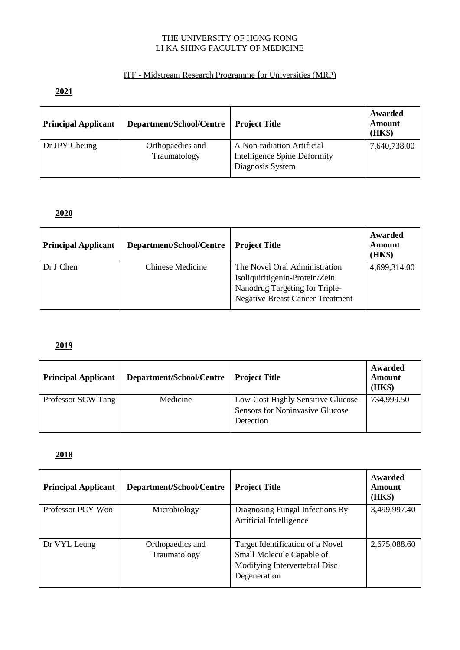#### THE UNIVERSITY OF HONG KONG LI KA SHING FACULTY OF MEDICINE

### ITF - Midstream Research Programme for Universities (MRP)

### **2021**

| <b>Principal Applicant</b> | Department/School/Centre         | <b>Project Title</b>                                                           | Awarded<br>Amount<br>(HK\$) |
|----------------------------|----------------------------------|--------------------------------------------------------------------------------|-----------------------------|
| Dr JPY Cheung              | Orthopaedics and<br>Traumatology | A Non-radiation Artificial<br>Intelligence Spine Deformity<br>Diagnosis System | 7,640,738.00                |

# **2020**

| <b>Principal Applicant</b> | Department/School/Centre | <b>Project Title</b>                    | Awarded<br>Amount<br>(HK\$) |
|----------------------------|--------------------------|-----------------------------------------|-----------------------------|
| Dr J Chen                  | Chinese Medicine         | The Novel Oral Administration           | 4,699,314.00                |
|                            |                          | Isoliquiritigenin-Protein/Zein          |                             |
|                            |                          | Nanodrug Targeting for Triple-          |                             |
|                            |                          | <b>Negative Breast Cancer Treatment</b> |                             |

### **2019**

| <b>Principal Applicant</b> | Department/School/Centre | <b>Project Title</b>                                                                     | Awarded<br>Amount<br>(HK\$) |
|----------------------------|--------------------------|------------------------------------------------------------------------------------------|-----------------------------|
| Professor SCW Tang         | Medicine                 | Low-Cost Highly Sensitive Glucose<br><b>Sensors for Noninvasive Glucose</b><br>Detection | 734,999.50                  |

## **2018**

| <b>Principal Applicant</b> | Department/School/Centre         | <b>Project Title</b>                                                                                           | Awarded<br>Amount<br>(HK\$) |
|----------------------------|----------------------------------|----------------------------------------------------------------------------------------------------------------|-----------------------------|
| Professor PCY Woo          | Microbiology                     | Diagnosing Fungal Infections By<br>Artificial Intelligence                                                     | 3,499,997.40                |
| Dr VYL Leung               | Orthopaedics and<br>Traumatology | Target Identification of a Novel<br>Small Molecule Capable of<br>Modifying Intervertebral Disc<br>Degeneration | 2,675,088.60                |